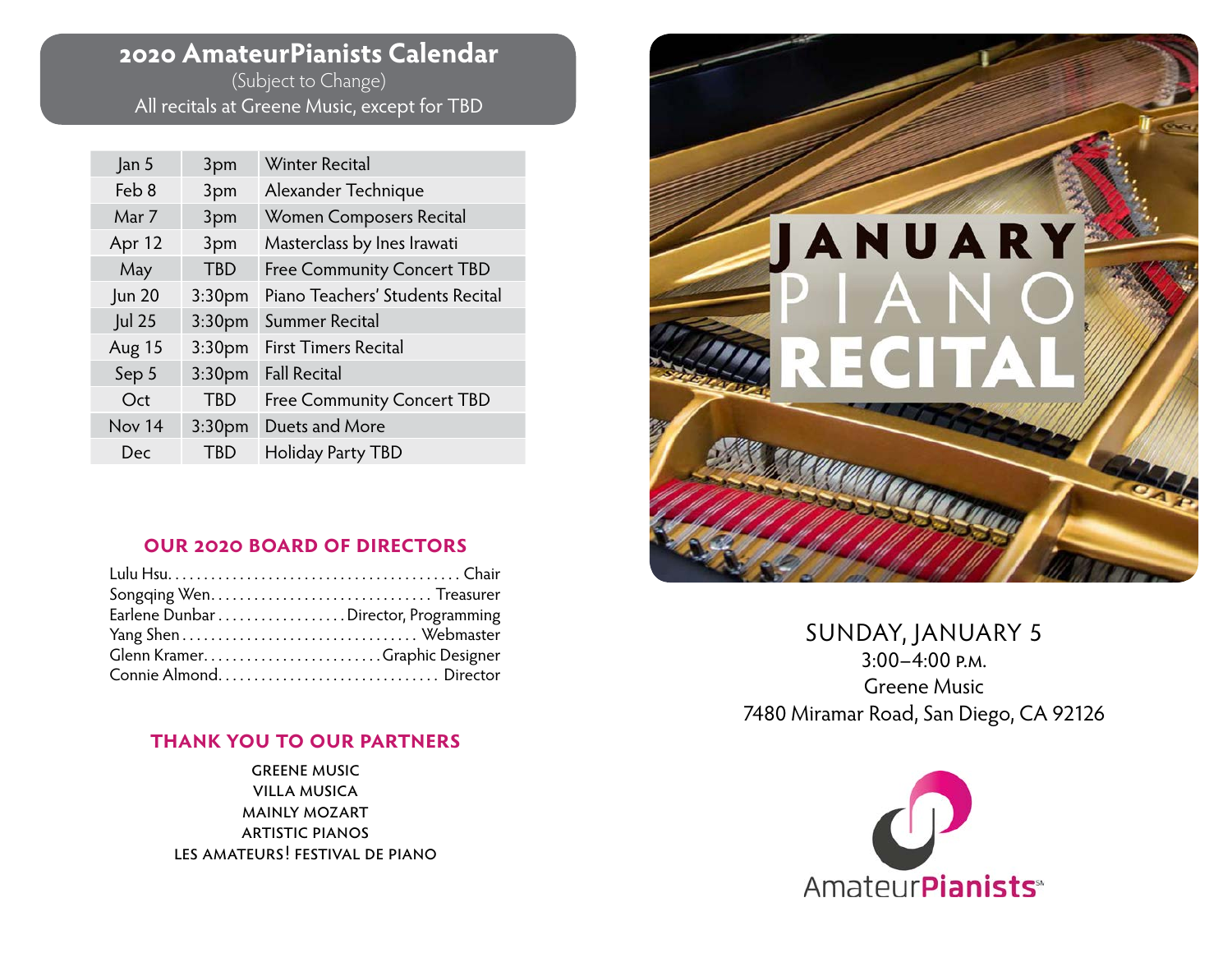## **2020 AmateurPianists Calendar**

(Subject to Change) All recitals at Greene Music, except for TBD

| Jan 5         | 3pm                | <b>Winter Recital</b>             |
|---------------|--------------------|-----------------------------------|
| Feb 8         | 3pm                | Alexander Technique               |
| Mar 7         | 3pm                | Women Composers Recital           |
| Apr 12        | 3pm                | Masterclass by Ines Irawati       |
| May           | <b>TBD</b>         | <b>Free Community Concert TBD</b> |
| <b>Jun 20</b> | 3:30 <sub>pm</sub> | Piano Teachers' Students Recital  |
| Jul 25        | 3:30 <sub>pm</sub> | Summer Recital                    |
| Aug 15        | 3:30 <sub>pm</sub> | <b>First Timers Recital</b>       |
| Sep 5         | 3:30 <sub>pm</sub> | <b>Fall Recital</b>               |
| Oct           | <b>TBD</b>         | <b>Free Community Concert TBD</b> |
| Nov 14        | 3:30 <sub>pm</sub> | Duets and More                    |
| Dec           | TBD                | Holiday Party TBD                 |

#### **our 2020 board of directors**

| Earlene Dunbar Director, Programming |  |
|--------------------------------------|--|
|                                      |  |
| Glenn KramerGraphic Designer         |  |
|                                      |  |

#### **thank you to our partners**

greene music villa musica mainly mozart artistic pianos les amateurs! festival de piano



SUNDAY, JANUARY 5  $3:00-4:00$  p.m. Greene Music 7480 Miramar Road, San Diego, CA 92126